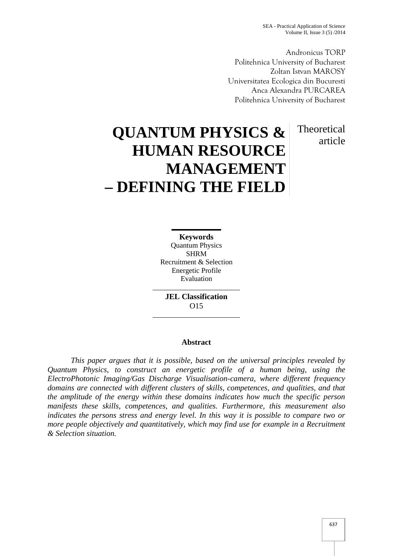Andronicus TORP Politehnica University of Bucharest Zoltan Istvan MAROSY Universitatea Ecologica din Bucuresti Anca Alexandra PURCAREA Politehnica University of Bucharest

> **Theoretical** article

# **QUANTUM PHYSICS & HUMAN RESOURCE MANAGEMENT – DEFINING THE FIELD**

**Keywords** Quantum Physics SHRM Recruitment & Selection Energetic Profile Evaluation

**JEL Classification** O15

# **Abstract**

*This paper argues that it is possible, based on the universal principles revealed by Quantum Physics, to construct an energetic profile of a human being, using the ElectroPhotonic Imaging/Gas Discharge Visualisation-camera, where different frequency domains are connected with different clusters of skills, competences, and qualities, and that the amplitude of the energy within these domains indicates how much the specific person manifests these skills, competences, and qualities. Furthermore, this measurement also indicates the persons stress and energy level. In this way it is possible to compare two or more people objectively and quantitatively, which may find use for example in a Recruitment & Selection situation.*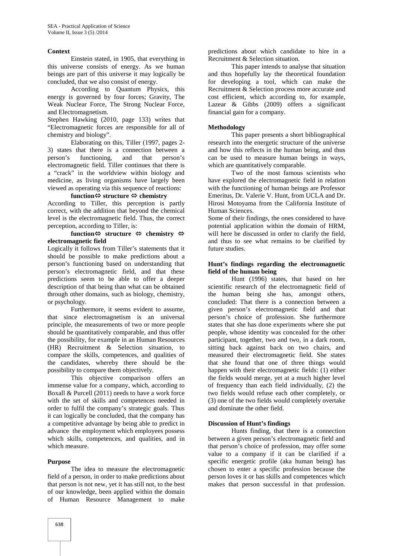#### **Context**

Einstein stated, in 1905, that everything in this universe consists of energy. As we human beings are part of this universe it may logically be concluded, that we also consist of energy.

According to Quantum Physics, this energy is governed by four forces; Gravity, The Weak Nuclear Force, The Strong Nuclear Force, and Electromagnetism.

Stephen Hawking (2010, page 133) writes that "Electromagnetic forces are responsible for all of chemistry and biology".

Elaborating on this, Tiller (1997, pages 2- 3) states that there is a connection between a person's functioning, and that person's electromagnetic field. Tiller continues that there is a "crack" in the worldview within biology and medicine, as living organisms have largely been viewed as operating via this sequence of reactions:

# $f$ unction $\Leftrightarrow$  structure  $\Leftrightarrow$  chemistry

According to Tiller, this perception is partly correct, with the addition that beyond the chemical level is the electromagnetic field. Thus, the correct perception, according to Tiller, is:

## **function**  $\Leftrightarrow$  **structure**  $\Leftrightarrow$  **chemistry**  $\Leftrightarrow$ **electromagnetic field**

Logically it follows from Tiller's statements that it should be possible to make predictions about a person's functioning based on understanding that person's electromagnetic field, and that these predictions seem to be able to offer a deeper description of that being than what can be obtained through other domains, such as biology, chemistry, or psychology.

Furthermore, it seems evident to assume, that since electromagnetism is an universal principle, the measurements of two or more people should be quantitatively comparable, and thus offer the possibility, for example in an Human Resources (HR) Recruitment & Selection situation, to compare the skills, competences, and qualities of the candidates, whereby there should be the possibility to compare them objectively.

This objective comparison offers an immense value for a company, which, according to Boxall & Purcell (2011) needs to have a work force with the set of skills and competences needed in order to fulfil the company's strategic goals. Thus it can logically be concluded, that the company has a competitive advantage by being able to predict in advance the employment which employees possess which skills, competences, and qualities, and in which measure.

# **Purpose**

The idea to measure the electromagnetic field of a person, in order to make predictions about that person is not new, yet it has still not, to the best of our knowledge, been applied within the domain of Human Resource Management to make

predictions about which candidate to hire in a Recruitment & Selection situation.

This paper intends to analyse that situation and thus hopefully lay the theoretical foundation for developing a tool, which can make the Recruitment & Selection process more accurate and cost efficient, which according to, for example, Lazear & Gibbs (2009) offers a significant financial gain for a company.

## **Methodology**

This paper presents a short bibliographical research into the energetic structure of the universe and how this reflects in the human being, and thus can be used to measure human beings in ways, which are quantitatively comparable.

Two of the most famous scientists who have explored the electromagnetic field in relation with the functioning of human beings are Professor Emeritus, Dr. Valerie V. Hunt, from UCLA and Dr. Hirosi Motoyama from the California Institute of Human Sciences.

Some of their findings, the ones considered to have potential application within the domain of HRM, will here be discussed in order to clarify the field, and thus to see what remains to be clarified by future studies.

## **Hunt's findings regarding the electromagnetic field of the human being**

Hunt (1996) states, that based on her scientific research of the electromagnetic field of the human being she has, amongst others, concluded: That there is a connection between a given person's electromagnetic field and that person's choice of profession. She furthermore states that she has done experiments where she put people, whose identity was concealed for the other participant, together, two and two, in a dark room, sitting back against back on two chairs, and measured their electromagnetic field. She states that she found that one of three things would happen with their electromagnetic fields: (1) either the fields would merge, yet at a much higher level of frequency than each field individually, (2) the two fields would refuse each other completely, or (3) one of the two fields would completely overtake and dominate the other field.

# **Discussion of Hunt's findings**

Hunts finding, that there is a connection between a given person's electromagnetic field and that person's choice of profession, may offer some value to a company if it can be clarified if a specific energetic profile (aka human being) has chosen to enter a specific profession because the person loves it or has skills and competences which makes that person successful in that profession.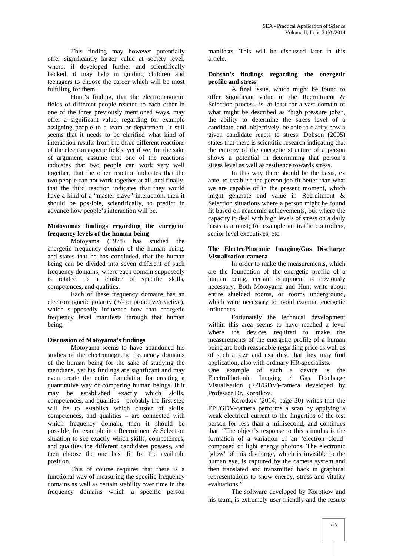This finding may however potentially offer significantly larger value at society level, where, if developed further and scientifically backed, it may help in guiding children and teenagers to choose the career which will be most fulfilling for them.

Hunt's finding, that the electromagnetic fields of different people reacted to each other in one of the three previously mentioned ways, may offer a significant value, regarding for example assigning people to a team or department. It still seems that it needs to be clarified what kind of interaction results from the three different reactions of the electromagnetic fields, yet if we, for the sake of argument, assume that one of the reactions indicates that two people can work very well together, that the other reaction indicates that the two people can not work together at all, and finally, that the third reaction indicates that they would have a kind of a "master-slave" interaction, then it should be possible, scientifically, to predict in advance how people's interaction will be.

# **Motoyamas findings regarding the energetic frequency levels of the human being**

Motoyama (1978) has studied the energetic frequency domain of the human being, and states that he has concluded, that the human being can be divided into seven different of such frequency domains, where each domain supposedly is related to a cluster of specific skills, competences, and qualities.

Each of these frequency domains has an electromagnetic polarity  $(+/- or$  proactive/reactive), which supposedly influence how that energetic frequency level manifests through that human being.

# **Discussion of Motoyama's findings**

Motoyama seems to have abandoned his studies of the electromagnetic frequency domains of the human being for the sake of studying the meridians, yet his findings are significant and may even create the entire foundation for creating a quantitative way of comparing human beings. If it may be established exactly which skills, competences, and qualities – probably the first step will be to establish which cluster of skills, competences, and qualities – are connected with which frequency domain, then it should be possible, for example in a Recruitment & Selection situation to see exactly which skills, competences, and qualities the different candidates possess, and then choose the one best fit for the available position.

This of course requires that there is a functional way of measuring the specific frequency domains as well as certain stability over time in the frequency domains which a specific person manifests. This will be discussed later in this article.

# **Dobson's findings regarding the energetic profile and stress**

A final issue, which might be found to offer significant value in the Recruitment & Selection process, is, at least for a vast domain of what might be described as "high pressure jobs", the ability to determine the stress level of a candidate, and, objectively, be able to clarify how a given candidate reacts to stress. Dobson (2005) states that there is scientific research indicating that the entropy of the energetic structure of a person shows a potential in determining that person's stress level as well as resilience towards stress.

In this way there should be the basis, ex ante, to establish the person-job fit better than what we are capable of in the present moment, which might generate end value in Recruitment & Selection situations where a person might be found fit based on academic achievements, but where the capacity to deal with high levels of stress on a daily basis is a must; for example air traffic controllers, senior level executives, etc.

# **The ElectroPhotonic Imaging/Gas Discharge Visualisation-camera**

In order to make the measurements, which are the foundation of the energetic profile of a human being, certain equipment is obviously necessary. Both Motoyama and Hunt write about entire shielded rooms, or rooms underground, which were necessary to avoid external energetic influences.

Fortunately the technical development within this area seems to have reached a level where the devices required to make the measurements of the energetic profile of a human being are both reasonable regarding price as well as of such a size and usability, that they may find application, also with ordinary HR-specialists.

One example of such a device is the ElectroPhotonic Imaging / Gas Discharge Visualisation (EPI/GDV)-camera developed by Professor Dr. Korotkov.

Korotkov (2014, page 30) writes that the EPI/GDV-camera performs a scan by applying a weak electrical current to the fingertips of the test person for less than a millisecond, and continues that: "The object's response to this stimulus is the formation of a variation of an 'electron cloud' composed of light energy photons. The electronic 'glow' of this discharge, which is invisible to the human eye, is captured by the camera system and then translated and transmitted back in graphical representations to show energy, stress and vitality evaluations."

The software developed by Korotkov and his team, is extremely user friendly and the results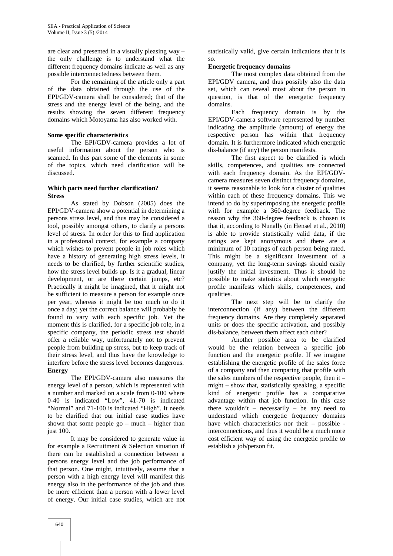are clear and presented in a visually pleasing way – the only challenge is to understand what the different frequency domains indicate as well as any possible interconnectedness between them.

For the remaining of the article only a part of the data obtained through the use of the EPI/GDV-camera shall be considered; that of the stress and the energy level of the being, and the results showing the seven different frequency domains which Motoyama has also worked with.

## **Some specific characteristics**

The EPI/GDV-camera provides a lot of useful information about the person who is scanned. In this part some of the elements in some of the topics, which need clarification will be discussed.

# **Which parts need further clarification? Stress**

As stated by Dobson (2005) does the EPI/GDV-camera show a potential in determining a persons stress level, and thus may be considered a tool, possibly amongst others, to clarify a persons level of stress. In order for this to find application in a professional context, for example a company which wishes to prevent people in job roles which have a history of generating high stress levels, it needs to be clarified, by further scientific studies, how the stress level builds up. Is it a gradual, linear development, or are there certain jumps, etc? Practically it might be imagined, that it might not be sufficient to measure a person for example once per year, whereas it might be too much to do it once a day; yet the correct balance will probably be found to vary with each specific job. Yet the moment this is clarified, for a specific job role, in a specific company, the periodic stress test should offer a reliable way, unfortunately not to prevent people from building up stress, but to keep track of their stress level, and thus have the knowledge to interfere before the stress level becomes dangerous. **Energy**

The EPI/GDV-camera also measures the energy level of a person, which is represented with a number and marked on a scale from 0-100 where 0-40 is indicated "Low", 41-70 is indicated "Normal" and 71-100 is indicated "High". It needs to be clarified that our initial case studies have shown that some people go – much – higher than just 100.

It may be considered to generate value in for example a Recruitment & Selection situation if there can be established a connection between a persons energy level and the job performance of that person. One might, intuitively, assume that a person with a high energy level will manifest this energy also in the performance of the job and thus be more efficient than a person with a lower level of energy. Our initial case studies, which are not statistically valid, give certain indications that it is so.

# **Energetic frequency domains**

The most complex data obtained from the EPI/GDV camera, and thus possibly also the data set, which can reveal most about the person in question, is that of the energetic frequency domains.

Each frequency domain is by the EPI/GDV-camera software represented by number indicating the amplitude (amount) of energy the respective person has within that frequency domain. It is furthermore indicated which energetic dis-balance (if any) the person manifests.

The first aspect to be clarified is which skills, competences, and qualities are connected with each frequency domain. As the EPI/GDV camera measures seven distinct frequency domains, it seems reasonable to look for a cluster of qualities within each of these frequency domains. This we intend to do by superimposing the energetic profile with for example a 360-degree feedback. The reason why the 360-degree feedback is chosen is that it, according to Nunally (in Hensel et al., 2010) is able to provide statistically valid data, if the ratings are kept anonymous and there are a minimum of 10 ratings of each person being rated. This might be a significant investment of a company, yet the long-term savings should easily justify the initial investment. Thus it should be possible to make statistics about which energetic profile manifests which skills, competences, and qualities.

The next step will be to clarify the interconnection (if any) between the different frequency domains. Are they completely separated units or does the specific activation, and possibly dis-balance, between them affect each other?

Another possible area to be clarified would be the relation between a specific job function and the energetic profile. If we imagine establishing the energetic profile of the sales force of a company and then comparing that profile with the sales numbers of the respective people, then it – might – show that, statistically speaking, a specific kind of energetic profile has a comparative advantage within that job function. In this case there wouldn't – necessarily – be any need to understand which energetic frequency domains have which characteristics nor their – possible interconnections, and thus it would be a much more cost efficient way of using the energetic profile to establish a job/person fit.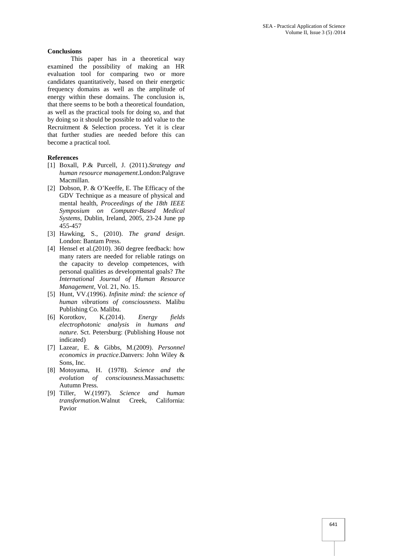## **Conclusions**

This paper has in a theoretical way examined the possibility of making an HR evaluation tool for comparing two or more candidates quantitatively, based on their energetic frequency domains as well as the amplitude of energy within these domains. The conclusion is, that there seems to be both a theoretical foundation, as well as the practical tools for doing so, and that by doing so it should be possible to add value to the Recruitment & Selection process. Yet it is clear that further studies are needed before this can become a practical tool.

#### **References**

- [1] Boxall, P.& Purcell, J. (2011).*Strategy and human resource management*.London:Palgrave Macmillan.
- [2] Dobson, P. & O'Keeffe, E. The Efficacy of the GDV Technique as a measure of physical and mental health, *Proceedings of the 18th IEEE Symposium on Computer-Based Medical Systems*, Dublin, Ireland, 2005, 23-24 June pp 455-457
- [3] Hawking, S., (2010). *The grand design*. London: Bantam Press.
- [4] Hensel et al.(2010). 360 degree feedback: how many raters are needed for reliable ratings on the capacity to develop competences, with personal qualities as developmental goals? *The International Journal of Human Resource Management,* Vol. 21, No. 15.
- [5] Hunt, VV.(1996). *Infinite mind: the science of human vibrations of consciousness*. Malibu Publishing Co. Malibu.
- [6] Korotkov, K.(2014). *Energy fields electrophotonic analysis in humans and nature*. Sct. Petersburg: (Publishing House not indicated)
- [7] Lazear, E. & Gibbs, M.(2009). *Personnel economics in practice*.Danvers: John Wiley & Sons, Inc.
- [8] Motoyama, H. (1978). *Science and the evolution of consciousness*.Massachusetts: Autumn Press.
- [9] Tiller, W.(1997). *Science and human transformation*.Walnut Creek, California: Pavior